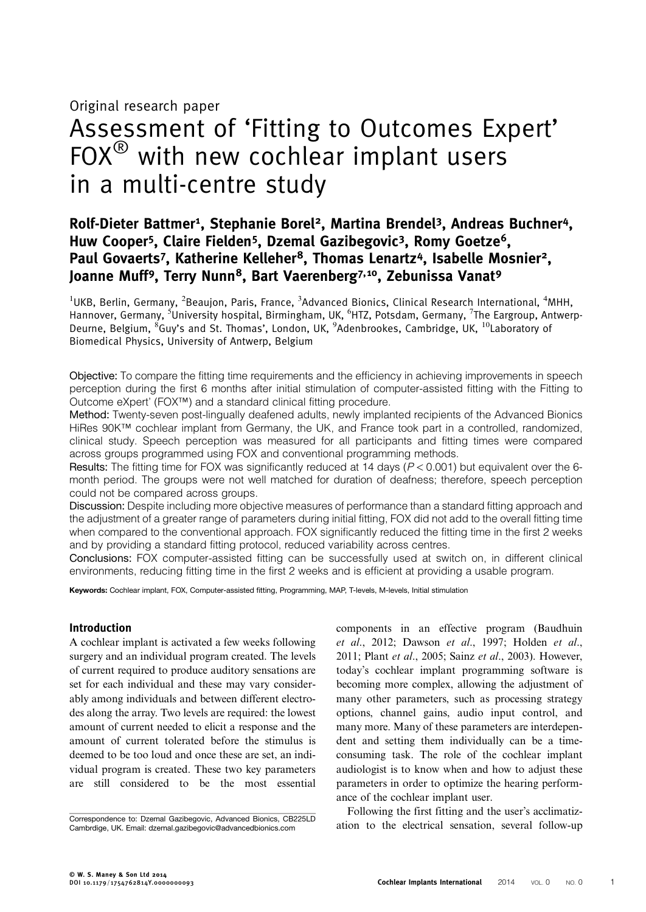Original research paper

# Assessment of 'Fitting to Outcomes Expert'  $FOX^{\circledR}$  with new cochlear implant users in a multi-centre study

# Rolf-Dieter Battmer<sup>1</sup>, Stephanie Borel<sup>2</sup>, Martina Brendel<sup>3</sup>, Andreas Buchner<sup>4</sup>, Huw Cooper<sup>5</sup>, Claire Fielden<sup>5</sup>, Dzemal Gazibegovic<sup>3</sup>, Romy Goetze<sup>6</sup>, Paul Govaerts<sup>7</sup>, Katherine Kelleher<sup>8</sup>, Thomas Lenartz<sup>4</sup>, Isabelle Mosnier<sup>2</sup>, Joanne Muff<sup>9</sup>, Terry Nunn<sup>8</sup>, Bart Vaerenberg<sup>7,10</sup>, Zebunissa Vanat<sup>9</sup>

 $^{1}$ UKB, Berlin, Germany,  $^{2}$ Beaujon, Paris, France,  $^{3}$ Advanced Bionics, Clinical Research International,  $^{4}$ MHH, Hannover, Germany, <sup>5</sup>University hospital, Birmingham, UK, <sup>6</sup>HTZ, Potsdam, Germany, <sup>7</sup>The Eargroup, Antwerp-Deurne, Belgium, <sup>8</sup>Guy's and St. Thomas', London, UK, <sup>9</sup>Adenbrookes, Cambridge, UK, <sup>10</sup>Laboratory of Biomedical Physics, University of Antwerp, Belgium

Objective: To compare the fitting time requirements and the efficiency in achieving improvements in speech perception during the first 6 months after initial stimulation of computer-assisted fitting with the Fitting to Outcome eXpert' (FOX™) and a standard clinical fitting procedure.

Method: Twenty-seven post-lingually deafened adults, newly implanted recipients of the Advanced Bionics HiRes 90K™ cochlear implant from Germany, the UK, and France took part in a controlled, randomized, clinical study. Speech perception was measured for all participants and fitting times were compared across groups programmed using FOX and conventional programming methods.

Results: The fitting time for FOX was significantly reduced at 14 days ( $P < 0.001$ ) but equivalent over the 6month period. The groups were not well matched for duration of deafness; therefore, speech perception could not be compared across groups.

Discussion: Despite including more objective measures of performance than a standard fitting approach and the adjustment of a greater range of parameters during initial fitting, FOX did not add to the overall fitting time when compared to the conventional approach. FOX significantly reduced the fitting time in the first 2 weeks and by providing a standard fitting protocol, reduced variability across centres.

Conclusions: FOX computer-assisted fitting can be successfully used at switch on, in different clinical environments, reducing fitting time in the first 2 weeks and is efficient at providing a usable program.

Keywords: Cochlear implant, FOX, Computer-assisted fitting, Programming, MAP, T-levels, M-levels, Initial stimulation

### Introduction

A cochlear implant is activated a few weeks following surgery and an individual program created. The levels of current required to produce auditory sensations are set for each individual and these may vary considerably among individuals and between different electrodes along the array. Two levels are required: the lowest amount of current needed to elicit a response and the amount of current tolerated before the stimulus is deemed to be too loud and once these are set, an individual program is created. These two key parameters are still considered to be the most essential components in an effective program [\(Baudhuin](#page-8-0) et al[., 2012; Dawson](#page-8-0) et al., 1997; [Holden](#page-8-0) et al., [2011;](#page-8-0) Plant et al[., 2005;](#page-8-0) Sainz et al[., 2003\)](#page-8-0). However, today's cochlear implant programming software is becoming more complex, allowing the adjustment of many other parameters, such as processing strategy options, channel gains, audio input control, and many more. Many of these parameters are interdependent and setting them individually can be a timeconsuming task. The role of the cochlear implant audiologist is to know when and how to adjust these parameters in order to optimize the hearing performance of the cochlear implant user.

Following the first fitting and the user's acclimatiz-Correspondence to: Dzemal Gazibegovic, Advanced Bionics, CB225LD<br>Cambridge. UK. Email: dzemal.gazibegovic@advancedbionics.com ation to the electrical sensation, several follow-up

Cambrdige, UK. Email: [dzemal.gazibegovic@advancedbionics.com](mailto:dzemal.gazibegovic@advancedbionics.com)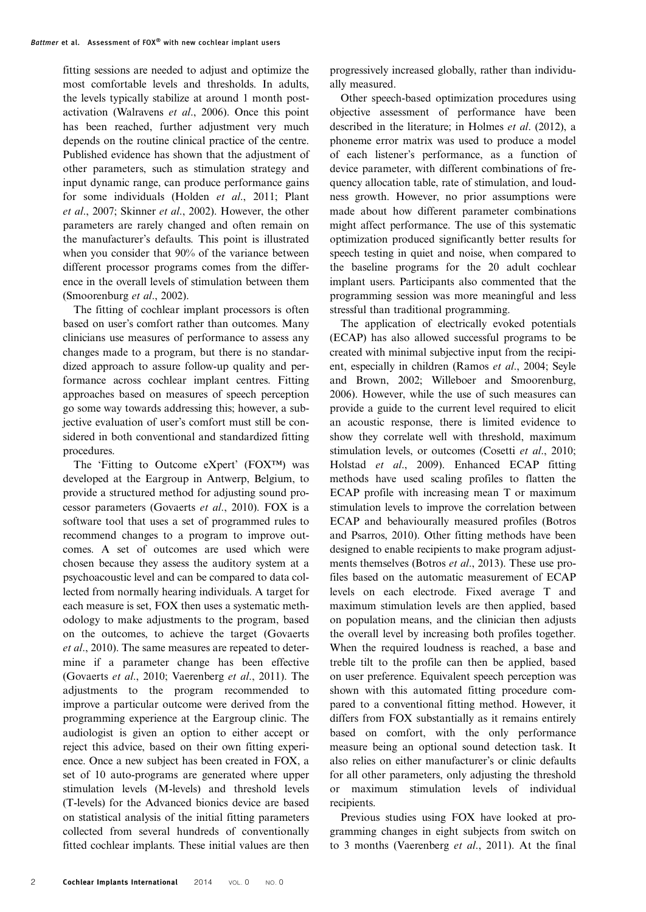fitting sessions are needed to adjust and optimize the most comfortable levels and thresholds. In adults, the levels typically stabilize at around 1 month postactivation ([Walravens](#page-9-0) et al., 2006). Once this point has been reached, further adjustment very much depends on the routine clinical practice of the centre. Published evidence has shown that the adjustment of other parameters, such as stimulation strategy and input dynamic range, can produce performance gains for some individuals [\(Holden](#page-8-0) et al., 2011; [Plant](#page-8-0) et al[., 2007](#page-8-0); [Skinner](#page-9-0) et al., 2002). However, the other parameters are rarely changed and often remain on the manufacturer's defaults. This point is illustrated when you consider that 90% of the variance between different processor programs comes from the difference in the overall levels of stimulation between them [\(Smoorenburg](#page-9-0) et al., 2002).

The fitting of cochlear implant processors is often based on user's comfort rather than outcomes. Many clinicians use measures of performance to assess any changes made to a program, but there is no standardized approach to assure follow-up quality and performance across cochlear implant centres. Fitting approaches based on measures of speech perception go some way towards addressing this; however, a subjective evaluation of user's comfort must still be considered in both conventional and standardized fitting procedures.

The 'Fitting to Outcome eXpert' (FOX™) was developed at the Eargroup in Antwerp, Belgium, to provide a structured method for adjusting sound processor parameters ([Govaerts](#page-8-0) et al., 2010). FOX is a software tool that uses a set of programmed rules to recommend changes to a program to improve outcomes. A set of outcomes are used which were chosen because they assess the auditory system at a psychoacoustic level and can be compared to data collected from normally hearing individuals. A target for each measure is set, FOX then uses a systematic methodology to make adjustments to the program, based on the outcomes, to achieve the target ([Govaerts](#page-8-0) et al[., 2010\)](#page-8-0). The same measures are repeated to determine if a parameter change has been effective [\(Govaerts](#page-8-0) et al., 2010; [Vaerenberg](#page-9-0) et al., 2011). The adjustments to the program recommended to improve a particular outcome were derived from the programming experience at the Eargroup clinic. The audiologist is given an option to either accept or reject this advice, based on their own fitting experience. Once a new subject has been created in FOX, a set of 10 auto-programs are generated where upper stimulation levels (M-levels) and threshold levels (T-levels) for the Advanced bionics device are based on statistical analysis of the initial fitting parameters collected from several hundreds of conventionally fitted cochlear implants. These initial values are then

progressively increased globally, rather than individually measured.

Other speech-based optimization procedures using objective assessment of performance have been described in the literature; in Holmes et al[. \(2012\),](#page-8-0) a phoneme error matrix was used to produce a model of each listener's performance, as a function of device parameter, with different combinations of frequency allocation table, rate of stimulation, and loudness growth. However, no prior assumptions were made about how different parameter combinations might affect performance. The use of this systematic optimization produced significantly better results for speech testing in quiet and noise, when compared to the baseline programs for the 20 adult cochlear implant users. Participants also commented that the programming session was more meaningful and less stressful than traditional programming.

The application of electrically evoked potentials (ECAP) has also allowed successful programs to be created with minimal subjective input from the recipient, especially in children (Ramos et al., 2004; [Seyle](#page-9-0) [and Brown, 2002; Willeboer and Smoorenburg,](#page-9-0) [2006\)](#page-9-0). However, while the use of such measures can provide a guide to the current level required to elicit an acoustic response, there is limited evidence to show they correlate well with threshold, maximum stimulation levels, or outcomes [\(Cosetti](#page-8-0) et al., 2010; Holstad et al[., 2009](#page-8-0)). Enhanced ECAP fitting methods have used scaling profiles to flatten the ECAP profile with increasing mean T or maximum stimulation levels to improve the correlation between ECAP and behaviourally measured profiles [\(Botros](#page-8-0) [and Psarros, 2010](#page-8-0)). Other fitting methods have been designed to enable recipients to make program adjust-ments themselves (Botros et al[., 2013\)](#page-8-0). These use profiles based on the automatic measurement of ECAP levels on each electrode. Fixed average T and maximum stimulation levels are then applied, based on population means, and the clinician then adjusts the overall level by increasing both profiles together. When the required loudness is reached, a base and treble tilt to the profile can then be applied, based on user preference. Equivalent speech perception was shown with this automated fitting procedure compared to a conventional fitting method. However, it differs from FOX substantially as it remains entirely based on comfort, with the only performance measure being an optional sound detection task. It also relies on either manufacturer's or clinic defaults for all other parameters, only adjusting the threshold or maximum stimulation levels of individual recipients.

Previous studies using FOX have looked at programming changes in eight subjects from switch on to 3 months (Vaerenberg et al., 2011). At the final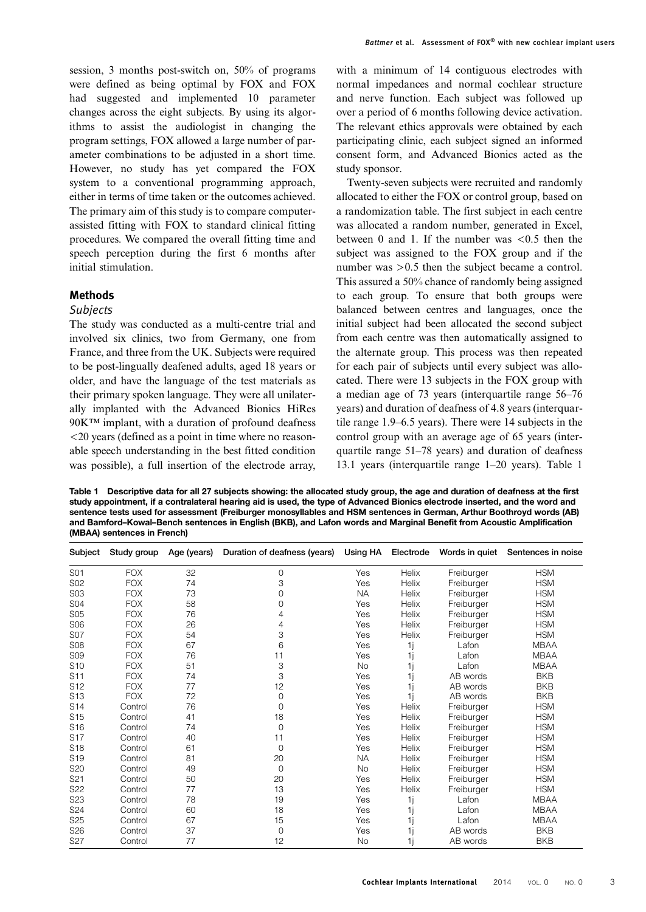session, 3 months post-switch on, 50% of programs were defined as being optimal by FOX and FOX had suggested and implemented 10 parameter changes across the eight subjects. By using its algorithms to assist the audiologist in changing the program settings, FOX allowed a large number of parameter combinations to be adjusted in a short time. However, no study has yet compared the FOX system to a conventional programming approach, either in terms of time taken or the outcomes achieved. The primary aim of this study is to compare computerassisted fitting with FOX to standard clinical fitting procedures. We compared the overall fitting time and speech perception during the first 6 months after initial stimulation.

#### Methods

#### Subjects

The study was conducted as a multi-centre trial and involved six clinics, two from Germany, one from France, and three from the UK. Subjects were required to be post-lingually deafened adults, aged 18 years or older, and have the language of the test materials as their primary spoken language. They were all unilaterally implanted with the Advanced Bionics HiRes 90K™ implant, with a duration of profound deafness <20 years (defined as a point in time where no reasonable speech understanding in the best fitted condition was possible), a full insertion of the electrode array,

with a minimum of 14 contiguous electrodes with normal impedances and normal cochlear structure and nerve function. Each subject was followed up over a period of 6 months following device activation. The relevant ethics approvals were obtained by each participating clinic, each subject signed an informed consent form, and Advanced Bionics acted as the study sponsor.

Twenty-seven subjects were recruited and randomly allocated to either the FOX or control group, based on a randomization table. The first subject in each centre was allocated a random number, generated in Excel, between 0 and 1. If the number was <0.5 then the subject was assigned to the FOX group and if the number was  $> 0.5$  then the subject became a control. This assured a 50% chance of randomly being assigned to each group. To ensure that both groups were balanced between centres and languages, once the initial subject had been allocated the second subject from each centre was then automatically assigned to the alternate group. This process was then repeated for each pair of subjects until every subject was allocated. There were 13 subjects in the FOX group with a median age of 73 years (interquartile range 56–76 years) and duration of deafness of 4.8 years (interquartile range 1.9–6.5 years). There were 14 subjects in the control group with an average age of 65 years (interquartile range 51–78 years) and duration of deafness 13.1 years (interquartile range 1–20 years). Table 1

Table 1 Descriptive data for all 27 subjects showing: the allocated study group, the age and duration of deafness at the first study appointment, if a contralateral hearing aid is used, the type of Advanced Bionics electrode inserted, and the word and sentence tests used for assessment (Freiburger monosyllables and HSM sentences in German, Arthur Boothroyd words (AB) and Bamford–Kowal–Bench sentences in English (BKB), and Lafon words and Marginal Benefit from Acoustic Amplification (MBAA) sentences in French)

| Subject         | Study group | Age (years) | Duration of deafness (years) | Using HA  | Electrode | Words in quiet | Sentences in noise |
|-----------------|-------------|-------------|------------------------------|-----------|-----------|----------------|--------------------|
| S01             | <b>FOX</b>  | 32          | $\mathbf 0$                  | Yes       | Helix     | Freiburger     | <b>HSM</b>         |
| S02             | <b>FOX</b>  | 74          | 3                            | Yes       | Helix     | Freiburger     | <b>HSM</b>         |
| S03             | <b>FOX</b>  | 73          | 0                            | <b>NA</b> | Helix     | Freiburger     | <b>HSM</b>         |
| S04             | <b>FOX</b>  | 58          | $\Omega$                     | Yes       | Helix     | Freiburger     | <b>HSM</b>         |
| <b>S05</b>      | <b>FOX</b>  | 76          | 4                            | Yes       | Helix     | Freiburger     | <b>HSM</b>         |
| <b>S06</b>      | <b>FOX</b>  | 26          | 4                            | Yes       | Helix     | Freiburger     | <b>HSM</b>         |
| <b>S07</b>      | <b>FOX</b>  | 54          | 3                            | Yes       | Helix     | Freiburger     | <b>HSM</b>         |
| <b>S08</b>      | <b>FOX</b>  | 67          | 6                            | Yes       | 1j        | Lafon          | <b>MBAA</b>        |
| <b>S09</b>      | <b>FOX</b>  | 76          | 11                           | Yes       | 1i        | Lafon          | <b>MBAA</b>        |
| S <sub>10</sub> | <b>FOX</b>  | 51          | 3                            | <b>No</b> | 1j        | Lafon          | <b>MBAA</b>        |
| S11             | <b>FOX</b>  | 74          | 3                            | Yes       | 1i        | AB words       | <b>BKB</b>         |
| S <sub>12</sub> | <b>FOX</b>  | 77          | 12                           | Yes       | 1i        | AB words       | <b>BKB</b>         |
| S <sub>13</sub> | <b>FOX</b>  | 72          | 0                            | Yes       | 1i        | AB words       | <b>BKB</b>         |
| S <sub>14</sub> | Control     | 76          | $\Omega$                     | Yes       | Helix     | Freiburger     | <b>HSM</b>         |
| S <sub>15</sub> | Control     | 41          | 18                           | Yes       | Helix     | Freiburger     | <b>HSM</b>         |
| S <sub>16</sub> | Control     | 74          | $\Omega$                     | Yes       | Helix     | Freiburger     | <b>HSM</b>         |
| S <sub>17</sub> | Control     | 40          | 11                           | Yes       | Helix     | Freiburger     | <b>HSM</b>         |
| S <sub>18</sub> | Control     | 61          | 0                            | Yes       | Helix     | Freiburger     | <b>HSM</b>         |
| S <sub>19</sub> | Control     | 81          | 20                           | <b>NA</b> | Helix     | Freiburger     | <b>HSM</b>         |
| S <sub>20</sub> | Control     | 49          | $\mathbf 0$                  | No        | Helix     | Freiburger     | <b>HSM</b>         |
| S <sub>21</sub> | Control     | 50          | 20                           | Yes       | Helix     | Freiburger     | <b>HSM</b>         |
| S22             | Control     | 77          | 13                           | Yes       | Helix     | Freiburger     | <b>HSM</b>         |
| S <sub>23</sub> | Control     | 78          | 19                           | Yes       | 1j        | Lafon          | <b>MBAA</b>        |
| S24             | Control     | 60          | 18                           | Yes       | 1i        | Lafon          | <b>MBAA</b>        |
| S <sub>25</sub> | Control     | 67          | 15                           | Yes       | 1i        | Lafon          | <b>MBAA</b>        |
| S <sub>26</sub> | Control     | 37          | 0                            | Yes       | 1i        | AB words       | <b>BKB</b>         |
| S <sub>27</sub> | Control     | 77          | 12                           | No        | 1i        | AB words       | <b>BKB</b>         |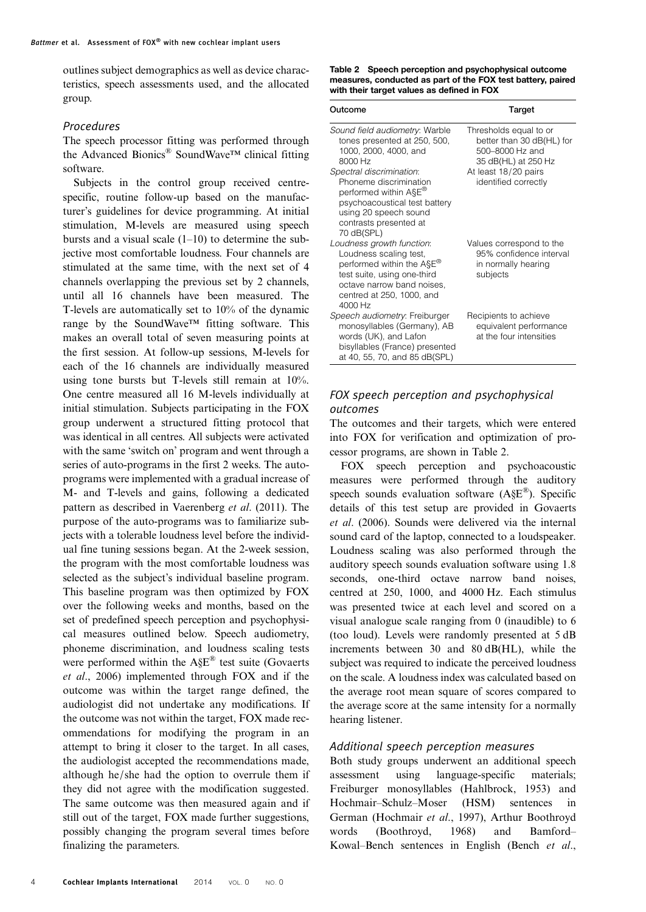outlines subject demographics as well as device characteristics, speech assessments used, and the allocated group.

#### Procedures

The speech processor fitting was performed through the Advanced Bionics® SoundWave™ clinical fitting software.

Subjects in the control group received centrespecific, routine follow-up based on the manufacturer's guidelines for device programming. At initial stimulation, M-levels are measured using speech bursts and a visual scale  $(1-10)$  to determine the subjective most comfortable loudness. Four channels are stimulated at the same time, with the next set of 4 channels overlapping the previous set by 2 channels, until all 16 channels have been measured. The T-levels are automatically set to 10% of the dynamic range by the SoundWave™ fitting software. This makes an overall total of seven measuring points at the first session. At follow-up sessions, M-levels for each of the 16 channels are individually measured using tone bursts but T-levels still remain at 10%. One centre measured all 16 M-levels individually at initial stimulation. Subjects participating in the FOX group underwent a structured fitting protocol that was identical in all centres. All subjects were activated with the same 'switch on' program and went through a series of auto-programs in the first 2 weeks. The autoprograms were implemented with a gradual increase of M- and T-levels and gains, following a dedicated pattern as described in [Vaerenberg](#page-9-0) et al. (2011). The purpose of the auto-programs was to familiarize subjects with a tolerable loudness level before the individual fine tuning sessions began. At the 2-week session, the program with the most comfortable loudness was selected as the subject's individual baseline program. This baseline program was then optimized by FOX over the following weeks and months, based on the set of predefined speech perception and psychophysical measures outlined below. Speech audiometry, phoneme discrimination, and loudness scaling tests were performed within the A§E® test suite ([Govaerts](#page-8-0) et al[., 2006](#page-8-0)) implemented through FOX and if the outcome was within the target range defined, the audiologist did not undertake any modifications. If the outcome was not within the target, FOX made recommendations for modifying the program in an attempt to bring it closer to the target. In all cases, the audiologist accepted the recommendations made, although he/she had the option to overrule them if they did not agree with the modification suggested. The same outcome was then measured again and if still out of the target, FOX made further suggestions, possibly changing the program several times before finalizing the parameters.

Table 2 Speech perception and psychophysical outcome measures, conducted as part of the FOX test battery, paired with their target values as defined in FOX

| Outcome                                                                                                                                                                                           | Target                                                                                                                |
|---------------------------------------------------------------------------------------------------------------------------------------------------------------------------------------------------|-----------------------------------------------------------------------------------------------------------------------|
| Sound field audiometry: Warble<br>tones presented at 250, 500,<br>1000, 2000, 4000, and<br>8000 Hz<br>Spectral discrimination:                                                                    | Thresholds equal to or<br>better than 30 dB(HL) for<br>500-8000 Hz and<br>35 dB(HL) at 250 Hz<br>At least 18/20 pairs |
| Phoneme discrimination<br>performed within A§E <sup>®</sup><br>psychoacoustical test battery<br>using 20 speech sound<br>contrasts presented at<br>70 dB(SPL)                                     | identified correctly                                                                                                  |
| Loudness growth function:<br>Loudness scaling test,<br>performed within the ASE <sup>®</sup><br>test suite, using one-third<br>octave narrow band noises,<br>centred at 250, 1000, and<br>4000 Hz | Values correspond to the<br>95% confidence interval<br>in normally hearing<br>subjects                                |
| Speech audiometry: Freiburger<br>monosyllables (Germany), AB<br>words (UK), and Lafon<br>bisyllables (France) presented<br>at 40, 55, 70, and 85 dB(SPL)                                          | Recipients to achieve<br>equivalent performance<br>at the four intensities                                            |

## FOX speech perception and psychophysical outcomes

The outcomes and their targets, which were entered into FOX for verification and optimization of processor programs, are shown in Table 2.

FOX speech perception and psychoacoustic measures were performed through the auditory speech sounds evaluation software (A§E®). Specific details of this test setup are provided in [Govaerts](#page-8-0) et al[. \(2006\).](#page-8-0) Sounds were delivered via the internal sound card of the laptop, connected to a loudspeaker. Loudness scaling was also performed through the auditory speech sounds evaluation software using 1.8 seconds, one-third octave narrow band noises, centred at 250, 1000, and 4000 Hz. Each stimulus was presented twice at each level and scored on a visual analogue scale ranging from 0 (inaudible) to 6 (too loud). Levels were randomly presented at 5 dB increments between 30 and 80 dB(HL), while the subject was required to indicate the perceived loudness on the scale. A loudness index was calculated based on the average root mean square of scores compared to the average score at the same intensity for a normally hearing listener.

#### Additional speech perception measures

Both study groups underwent an additional speech assessment using language-specific materials; Freiburger monosyllables ([Hahlbrock, 1953\)](#page-8-0) and Hochmair–Schulz–Moser (HSM) sentences in German [\(Hochmair](#page-8-0) et al., 1997), Arthur Boothroyd words ([Boothroyd, 1968\)](#page-8-0) and Bamford– Kowal–Bench sentences in English [\(Bench](#page-8-0) et al.,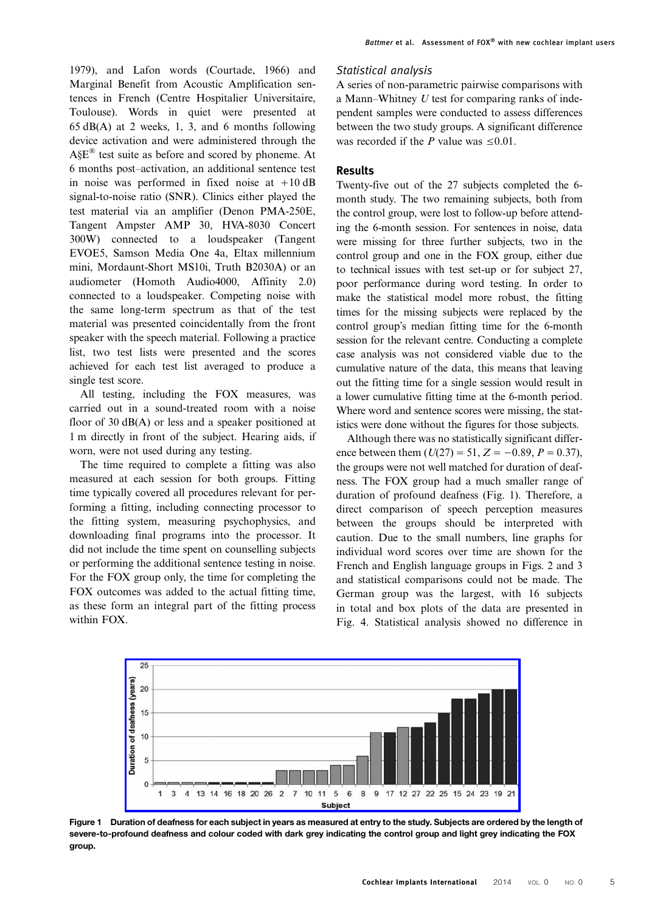[1979](#page-8-0)), and Lafon words [\(Courtade, 1966\)](#page-8-0) and Marginal Benefit from Acoustic Amplification sentences in French (Centre Hospitalier Universitaire, Toulouse). Words in quiet were presented at 65 dB(A) at 2 weeks, 1, 3, and 6 months following device activation and were administered through the A§E® test suite as before and scored by phoneme. At 6 months post–activation, an additional sentence test in noise was performed in fixed noise at  $+10$  dB signal-to-noise ratio (SNR). Clinics either played the test material via an amplifier (Denon PMA-250E, Tangent Ampster AMP 30, HVA-8030 Concert 300W) connected to a loudspeaker (Tangent EVOE5, Samson Media One 4a, Eltax millennium mini, Mordaunt-Short MS10i, Truth B2030A) or an audiometer (Homoth Audio4000, Affinity 2.0) connected to a loudspeaker. Competing noise with the same long-term spectrum as that of the test material was presented coincidentally from the front speaker with the speech material. Following a practice list, two test lists were presented and the scores achieved for each test list averaged to produce a single test score.

All testing, including the FOX measures, was carried out in a sound-treated room with a noise floor of 30 dB(A) or less and a speaker positioned at 1 m directly in front of the subject. Hearing aids, if worn, were not used during any testing.

The time required to complete a fitting was also measured at each session for both groups. Fitting time typically covered all procedures relevant for performing a fitting, including connecting processor to the fitting system, measuring psychophysics, and downloading final programs into the processor. It did not include the time spent on counselling subjects or performing the additional sentence testing in noise. For the FOX group only, the time for completing the FOX outcomes was added to the actual fitting time, as these form an integral part of the fitting process within FOX.

#### Statistical analysis

A series of non-parametric pairwise comparisons with a Mann–Whitney  $U$  test for comparing ranks of independent samples were conducted to assess differences between the two study groups. A significant difference was recorded if the P value was  $\leq 0.01$ .

#### Results

Twenty-five out of the 27 subjects completed the 6 month study. The two remaining subjects, both from the control group, were lost to follow-up before attending the 6-month session. For sentences in noise, data were missing for three further subjects, two in the control group and one in the FOX group, either due to technical issues with test set-up or for subject 27, poor performance during word testing. In order to make the statistical model more robust, the fitting times for the missing subjects were replaced by the control group's median fitting time for the 6-month session for the relevant centre. Conducting a complete case analysis was not considered viable due to the cumulative nature of the data, this means that leaving out the fitting time for a single session would result in a lower cumulative fitting time at the 6-month period. Where word and sentence scores were missing, the statistics were done without the figures for those subjects.

Although there was no statistically significant difference between them  $(U(27) = 51, Z = -0.89, P = 0.37)$ , the groups were not well matched for duration of deafness. The FOX group had a much smaller range of duration of profound deafness (Fig. 1). Therefore, a direct comparison of speech perception measures between the groups should be interpreted with caution. Due to the small numbers, line graphs for individual word scores over time are shown for the French and English language groups in Figs. [2](#page-5-0) and [3](#page-5-0) and statistical comparisons could not be made. The German group was the largest, with 16 subjects in total and box plots of the data are presented in Fig. [4](#page-6-0). Statistical analysis showed no difference in



Figure 1 Duration of deafness for each subject in years as measured at entry to the study. Subjects are ordered by the length of severe-to-profound deafness and colour coded with dark grey indicating the control group and light grey indicating the FOX group.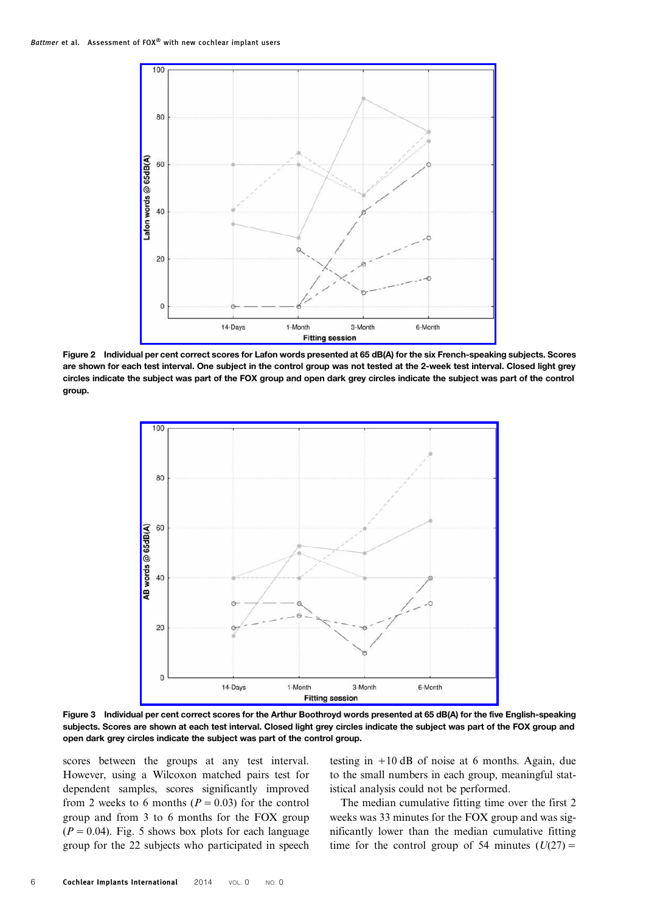<span id="page-5-0"></span>

Figure 2 Individual per cent correct scores for Lafon words presented at 65 dB(A) for the six French-speaking subjects. Scores are shown for each test interval. One subject in the control group was not tested at the 2-week test interval. Closed light grey circles indicate the subject was part of the FOX group and open dark grey circles indicate the subject was part of the control group.



Figure 3 Individual per cent correct scores for the Arthur Boothroyd words presented at 65 dB(A) for the five English-speaking subjects. Scores are shown at each test interval. Closed light grey circles indicate the subject was part of the FOX group and open dark grey circles indicate the subject was part of the control group.

scores between the groups at any test interval. However, using a Wilcoxon matched pairs test for dependent samples, scores significantly improved from 2 weeks to 6 months ( $P = 0.03$ ) for the control group and from 3 to 6 months for the FOX group  $(P = 0.04)$ . Fig. [5](#page-6-0) shows box plots for each language group for the 22 subjects who participated in speech testing in  $+10$  dB of noise at 6 months. Again, due to the small numbers in each group, meaningful statistical analysis could not be performed.

The median cumulative fitting time over the first 2 weeks was 33 minutes for the FOX group and was significantly lower than the median cumulative fitting time for the control group of 54 minutes  $(U(27)) =$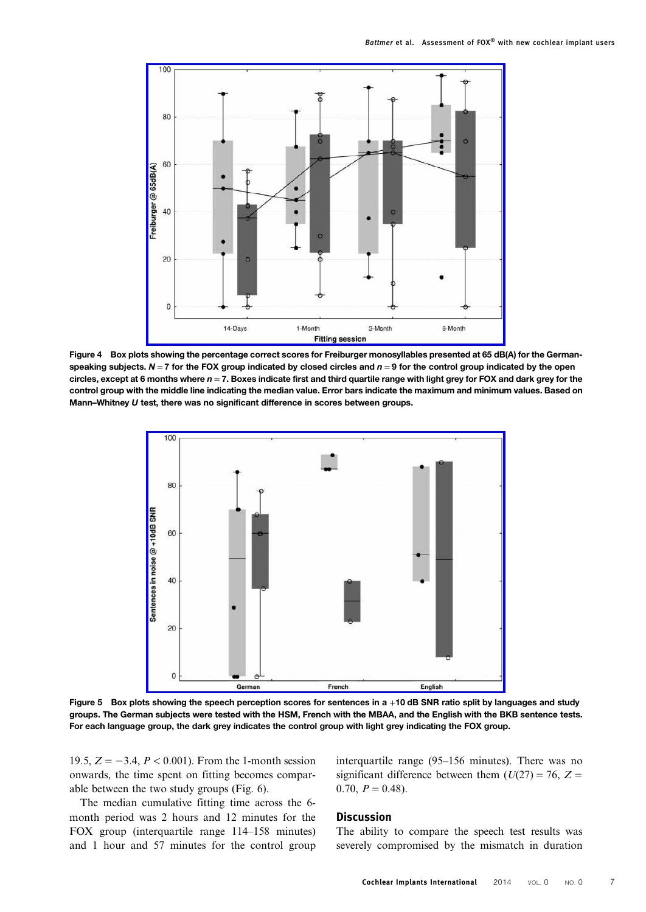<span id="page-6-0"></span>

Figure 4 Box plots showing the percentage correct scores for Freiburger monosyllables presented at 65 dB(A) for the Germanspeaking subjects.  $N = 7$  for the FOX group indicated by closed circles and  $n = 9$  for the control group indicated by the open circles, except at 6 months where  $n = 7$ . Boxes indicate first and third quartile range with light grey for FOX and dark grey for the control group with the middle line indicating the median value. Error bars indicate the maximum and minimum values. Based on Mann–Whitney U test, there was no significant difference in scores between groups.



Figure 5 Box plots showing the speech perception scores for sentences in a +10 dB SNR ratio split by languages and study groups. The German subjects were tested with the HSM, French with the MBAA, and the English with the BKB sentence tests. For each language group, the dark grey indicates the control group with light grey indicating the FOX group.

19.5,  $Z = -3.4$ ,  $P < 0.001$ ). From the 1-month session onwards, the time spent on fitting becomes comparable between the two study groups (Fig. [6](#page-7-0)).

The median cumulative fitting time across the 6 month period was 2 hours and 12 minutes for the FOX group (interquartile range 114–158 minutes) and 1 hour and 57 minutes for the control group interquartile range (95–156 minutes). There was no significant difference between them  $(U(27) = 76, Z =$  $0.70, P = 0.48$ .

#### **Discussion**

The ability to compare the speech test results was severely compromised by the mismatch in duration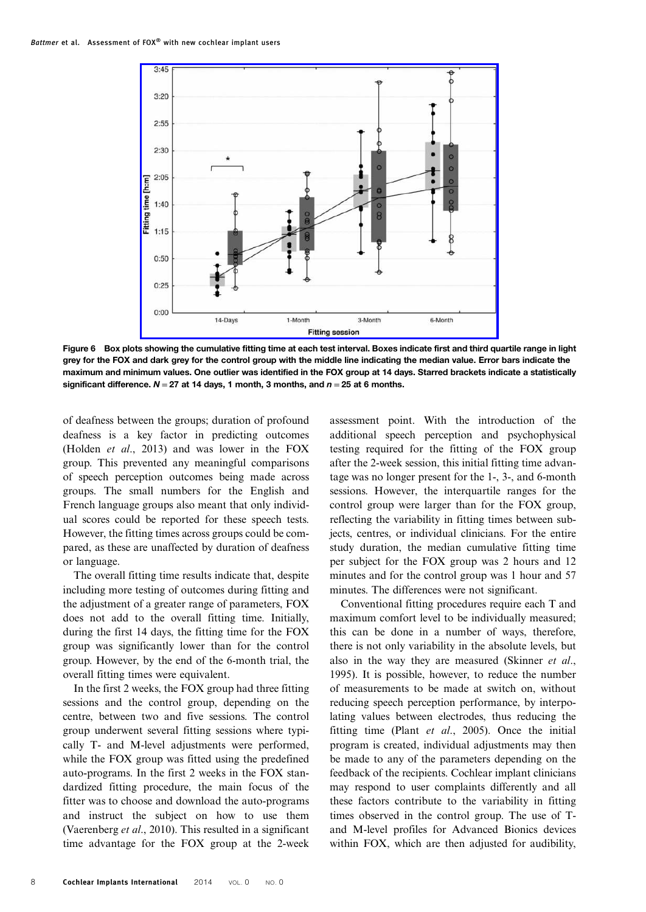<span id="page-7-0"></span>

Figure 6 Box plots showing the cumulative fitting time at each test interval. Boxes indicate first and third quartile range in light grey for the FOX and dark grey for the control group with the middle line indicating the median value. Error bars indicate the maximum and minimum values. One outlier was identified in the FOX group at 14 days. Starred brackets indicate a statistically significant difference.  $N = 27$  at 14 days, 1 month, 3 months, and  $n = 25$  at 6 months.

of deafness between the groups; duration of profound deafness is a key factor in predicting outcomes [\(Holden](#page-8-0) et al., 2013) and was lower in the FOX group. This prevented any meaningful comparisons of speech perception outcomes being made across groups. The small numbers for the English and French language groups also meant that only individual scores could be reported for these speech tests. However, the fitting times across groups could be compared, as these are unaffected by duration of deafness or language.

The overall fitting time results indicate that, despite including more testing of outcomes during fitting and the adjustment of a greater range of parameters, FOX does not add to the overall fitting time. Initially, during the first 14 days, the fitting time for the FOX group was significantly lower than for the control group. However, by the end of the 6-month trial, the overall fitting times were equivalent.

In the first 2 weeks, the FOX group had three fitting sessions and the control group, depending on the centre, between two and five sessions. The control group underwent several fitting sessions where typically T- and M-level adjustments were performed, while the FOX group was fitted using the predefined auto-programs. In the first 2 weeks in the FOX standardized fitting procedure, the main focus of the fitter was to choose and download the auto-programs and instruct the subject on how to use them (Vaerenberg et al., 2010). This resulted in a significant time advantage for the FOX group at the 2-week assessment point. With the introduction of the additional speech perception and psychophysical testing required for the fitting of the FOX group after the 2-week session, this initial fitting time advantage was no longer present for the 1-, 3-, and 6-month sessions. However, the interquartile ranges for the control group were larger than for the FOX group, reflecting the variability in fitting times between subjects, centres, or individual clinicians. For the entire study duration, the median cumulative fitting time per subject for the FOX group was 2 hours and 12 minutes and for the control group was 1 hour and 57 minutes. The differences were not significant.

Conventional fitting procedures require each T and maximum comfort level to be individually measured; this can be done in a number of ways, therefore, there is not only variability in the absolute levels, but also in the way they are measured ([Skinner](#page-9-0) et al., [1995\)](#page-9-0). It is possible, however, to reduce the number of measurements to be made at switch on, without reducing speech perception performance, by interpolating values between electrodes, thus reducing the fitting time (Plant et al[., 2005](#page-8-0)). Once the initial program is created, individual adjustments may then be made to any of the parameters depending on the feedback of the recipients. Cochlear implant clinicians may respond to user complaints differently and all these factors contribute to the variability in fitting times observed in the control group. The use of Tand M-level profiles for Advanced Bionics devices within FOX, which are then adjusted for audibility,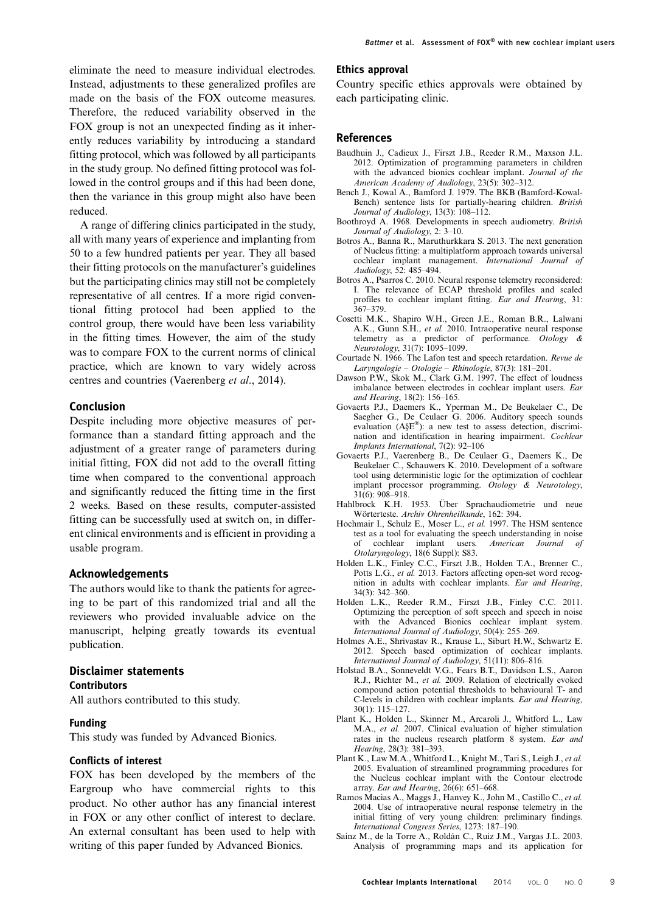<span id="page-8-0"></span>eliminate the need to measure individual electrodes. Instead, adjustments to these generalized profiles are made on the basis of the FOX outcome measures. Therefore, the reduced variability observed in the FOX group is not an unexpected finding as it inherently reduces variability by introducing a standard fitting protocol, which was followed by all participants in the study group. No defined fitting protocol was followed in the control groups and if this had been done, then the variance in this group might also have been reduced.

A range of differing clinics participated in the study, all with many years of experience and implanting from 50 to a few hundred patients per year. They all based their fitting protocols on the manufacturer's guidelines but the participating clinics may still not be completely representative of all centres. If a more rigid conventional fitting protocol had been applied to the control group, there would have been less variability in the fitting times. However, the aim of the study was to compare FOX to the current norms of clinical practice, which are known to vary widely across centres and countries ([Vaerenberg](#page-9-0) et al., 2014).

#### Conclusion

Despite including more objective measures of performance than a standard fitting approach and the adjustment of a greater range of parameters during initial fitting, FOX did not add to the overall fitting time when compared to the conventional approach and significantly reduced the fitting time in the first 2 weeks. Based on these results, computer-assisted fitting can be successfully used at switch on, in different clinical environments and is efficient in providing a usable program.

#### Acknowledgements

The authors would like to thank the patients for agreeing to be part of this randomized trial and all the reviewers who provided invaluable advice on the manuscript, helping greatly towards its eventual publication.

#### Disclaimer statements **Contributors**

All authors contributed to this study.

#### Funding

This study was funded by Advanced Bionics.

#### Conflicts of interest

FOX has been developed by the members of the Eargroup who have commercial rights to this product. No other author has any financial interest in FOX or any other conflict of interest to declare. An external consultant has been used to help with writing of this paper funded by Advanced Bionics.

#### Ethics approval

Country specific ethics approvals were obtained by each participating clinic.

#### References

- Baudhuin J., Cadieux J., Firszt J.B., Reeder R.M., Maxson J.L. 2012. Optimization of programming parameters in children with the advanced bionics cochlear implant. Journal of the American Academy of Audiology, 23(5): 302–312.
- Bench J., Kowal A., Bamford J. 1979. The BKB (Bamford-Kowal-Bench) sentence lists for partially-hearing children. British Journal of Audiology, 13(3): 108–112.
- Boothroyd A. 1968. Developments in speech audiometry. British Journal of Audiology, 2: 3–10.
- Botros A., Banna R., Maruthurkkara S. 2013. The next generation of Nucleus fitting: a multiplatform approach towards universal cochlear implant management. International Journal of Audiology, 52: 485–494.
- Botros A., Psarros C. 2010. Neural response telemetry reconsidered: I. The relevance of ECAP threshold profiles and scaled profiles to cochlear implant fitting. Ear and Hearing, 31:  $367 - 379$ .
- Cosetti M.K., Shapiro W.H., Green J.E., Roman B.R., Lalwani A.K., Gunn S.H., et al. 2010. Intraoperative neural response telemetry as a predictor of performance. Otology & Neurotology, 31(7): 1095–1099.
- Courtade N. 1966. The Lafon test and speech retardation. Revue de Laryngologie – Otologie – Rhinologie, 87(3): 181–201.
- Dawson P.W., Skok M., Clark G.M. 1997. The effect of loudness imbalance between electrodes in cochlear implant users. Ear and Hearing, 18(2): 156–165.
- Govaerts P.J., Daemers K., Yperman M., De Beukelaer C., De Saegher G., De Ceulaer G. 2006. Auditory speech sounds evaluation (A§E®): a new test to assess detection, discrimination and identification in hearing impairment. Cochlear Implants International, 7(2): 92–106
- Govaerts P.J., Vaerenberg B., De Ceulaer G., Daemers K., De Beukelaer C., Schauwers K. 2010. Development of a software tool using deterministic logic for the optimization of cochlear implant processor programming. Otology & Neurotology, 31(6): 908–918.
- Hahlbrock K.H. 1953. Über Sprachaudiometrie und neue Wörterteste. Archiv Ohrenheilkunde, 162: 394.
- Hochmair I., Schulz E., Moser L., et al. 1997. The HSM sentence test as a tool for evaluating the speech understanding in noise<br>of cochlear implant users. American Journal of of cochlear implant users. Otolaryngology, 18(6 Suppl): S83.
- Holden L.K., Finley C.C., Firszt J.B., Holden T.A., Brenner C., Potts L.G., et al. 2013. Factors affecting open-set word recognition in adults with cochlear implants. Ear and Hearing, 34(3): 342–360.
- Holden L.K., Reeder R.M., Firszt J.B., Finley C.C. 2011. Optimizing the perception of soft speech and speech in noise with the Advanced Bionics cochlear implant system. International Journal of Audiology, 50(4): 255–269.
- Holmes A.E., Shrivastav R., Krause L., Siburt H.W., Schwartz E. 2012. Speech based optimization of cochlear implants. International Journal of Audiology, 51(11): 806–816.
- Holstad B.A., Sonneveldt V.G., Fears B.T., Davidson L.S., Aaron R.J., Richter M., et al. 2009. Relation of electrically evoked compound action potential thresholds to behavioural T- and C-levels in children with cochlear implants. Ear and Hearing, 30(1): 115–127.
- Plant K., Holden L., Skinner M., Arcaroli J., Whitford L., Law M.A., et al. 2007. Clinical evaluation of higher stimulation rates in the nucleus research platform 8 system. Ear and Hearing, 28(3): 381–393.
- Plant K., Law M.A., Whitford L., Knight M., Tari S., Leigh J., et al. 2005. Evaluation of streamlined programming procedures for the Nucleus cochlear implant with the Contour electrode array. Ear and Hearing, 26(6): 651–668.
- Ramos Macias A., Maggs J., Hanvey K., John M., Castillo C., et al. 2004. Use of intraoperative neural response telemetry in the initial fitting of very young children: preliminary findings. International Congress Series, 1273: 187–190.
- Sainz M., de la Torre A., Roldán C., Ruiz J.M., Vargas J.L. 2003. Analysis of programming maps and its application for